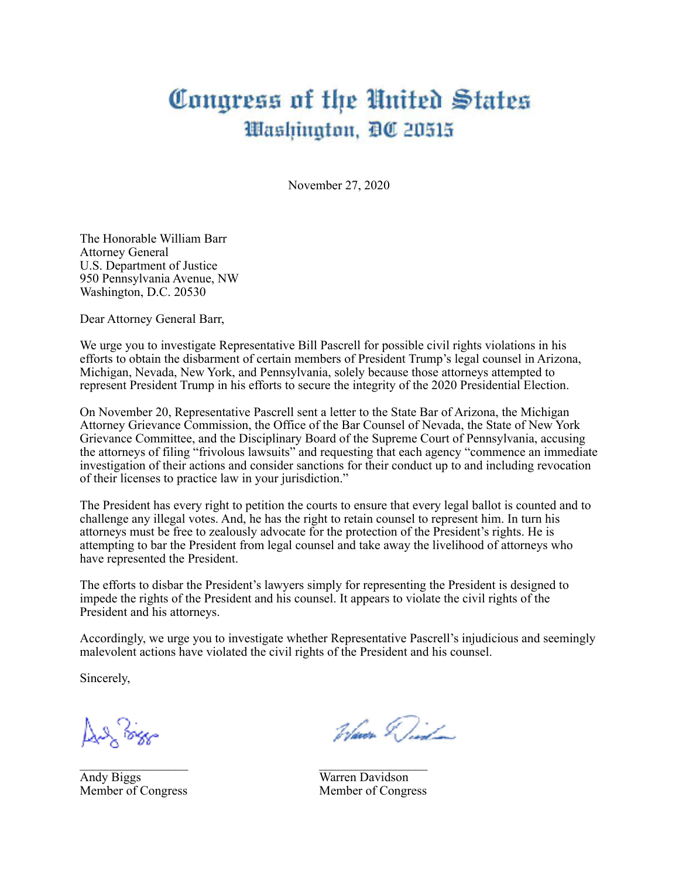## Congress of the United States Washington, DC 20515

November 27, 2020

The Honorable William Barr Attorney General U.S. Department of Justice 950 Pennsylvania Avenue, NW Washington, D.C. 20530

Dear Attorney General Barr,

We urge you to investigate Representative Bill Pascrell for possible civil rights violations in his efforts to obtain the disbarment of certain members of President Trump's legal counsel in Arizona, Michigan, Nevada, New York, and Pennsylvania, solely because those attorneys attempted to represent President Trump in his efforts to secure the integrity of the 2020 Presidential Election.

On November 20, Representative Pascrell sent a letter to the State Bar of Arizona, the Michigan Attorney Grievance Commission, the Office of the Bar Counsel of Nevada, the State of New York Grievance Committee, and the Disciplinary Board of the Supreme Court of Pennsylvania, accusing the attorneys of filing "frivolous lawsuits" and requesting that each agency "commence an immediate investigation of their actions and consider sanctions for their conduct up to and including revocation of their licenses to practice law in your jurisdiction."

The President has every right to petition the courts to ensure that every legal ballot is counted and to challenge any illegal votes. And, he has the right to retain counsel to represent him. In turn his attorneys must be free to zealously advocate for the protection of the President's rights. He is attempting to bar the President from legal counsel and take away the livelihood of attorneys who have represented the President.

The efforts to disbar the President's lawyers simply for representing the President is designed to impede the rights of the President and his counsel. It appears to violate the civil rights of the President and his attorneys.

 $\mathcal{L}_\text{max}$  , we can assume that the contract of  $\mathcal{L}_\text{max}$ 

Accordingly, we urge you to investigate whether Representative Pascrell's injudicious and seemingly malevolent actions have violated the civil rights of the President and his counsel.

Sincerely,

يهيهجكم يلبه

Andy Biggs Warren Davidson

Waver Did

Member of Congress Member of Congress